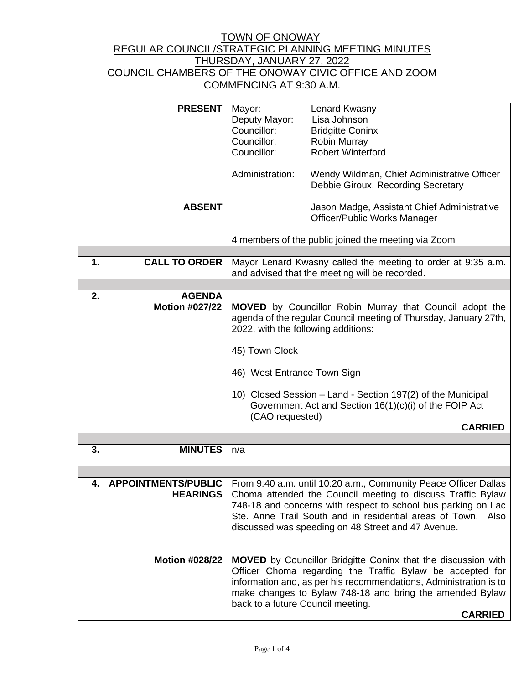|    | <b>PRESENT</b>             | Mayor:                                                                                                         | Lenard Kwasny                                                        |  |
|----|----------------------------|----------------------------------------------------------------------------------------------------------------|----------------------------------------------------------------------|--|
|    |                            | Deputy Mayor:                                                                                                  | Lisa Johnson                                                         |  |
|    |                            | Councillor:                                                                                                    | <b>Bridgitte Coninx</b>                                              |  |
|    |                            | Councillor:                                                                                                    | Robin Murray                                                         |  |
|    |                            | Councillor:                                                                                                    | <b>Robert Winterford</b>                                             |  |
|    |                            |                                                                                                                |                                                                      |  |
|    |                            | Administration:                                                                                                | Wendy Wildman, Chief Administrative Officer                          |  |
|    |                            |                                                                                                                | Debbie Giroux, Recording Secretary                                   |  |
|    |                            |                                                                                                                |                                                                      |  |
|    | <b>ABSENT</b>              |                                                                                                                | Jason Madge, Assistant Chief Administrative                          |  |
|    |                            |                                                                                                                | Officer/Public Works Manager                                         |  |
|    |                            |                                                                                                                |                                                                      |  |
|    |                            | 4 members of the public joined the meeting via Zoom                                                            |                                                                      |  |
| 1. | <b>CALL TO ORDER</b>       |                                                                                                                |                                                                      |  |
|    |                            | Mayor Lenard Kwasny called the meeting to order at 9:35 a.m.<br>and advised that the meeting will be recorded. |                                                                      |  |
|    |                            |                                                                                                                |                                                                      |  |
| 2. | <b>AGENDA</b>              |                                                                                                                |                                                                      |  |
|    | <b>Motion #027/22</b>      | <b>MOVED</b> by Councillor Robin Murray that Council adopt the                                                 |                                                                      |  |
|    |                            | agenda of the regular Council meeting of Thursday, January 27th,                                               |                                                                      |  |
|    |                            | 2022, with the following additions:                                                                            |                                                                      |  |
|    |                            |                                                                                                                |                                                                      |  |
|    |                            | 45) Town Clock                                                                                                 |                                                                      |  |
|    |                            | 46) West Entrance Town Sign                                                                                    |                                                                      |  |
|    |                            |                                                                                                                |                                                                      |  |
|    |                            |                                                                                                                | 10) Closed Session - Land - Section 197(2) of the Municipal          |  |
|    |                            | (CAO requested)                                                                                                | Government Act and Section 16(1)(c)(i) of the FOIP Act               |  |
|    |                            |                                                                                                                | <b>CARRIED</b>                                                       |  |
|    |                            |                                                                                                                |                                                                      |  |
| 3. | <b>MINUTES</b>             | n/a                                                                                                            |                                                                      |  |
|    |                            |                                                                                                                |                                                                      |  |
|    |                            |                                                                                                                |                                                                      |  |
| 4. | <b>APPOINTMENTS/PUBLIC</b> |                                                                                                                | From 9:40 a.m. until 10:20 a.m., Community Peace Officer Dallas      |  |
|    | <b>HEARINGS</b>            |                                                                                                                | Choma attended the Council meeting to discuss Traffic Bylaw          |  |
|    |                            |                                                                                                                | 748-18 and concerns with respect to school bus parking on Lac        |  |
|    |                            |                                                                                                                | Ste. Anne Trail South and in residential areas of Town. Also         |  |
|    |                            |                                                                                                                | discussed was speeding on 48 Street and 47 Avenue.                   |  |
|    |                            |                                                                                                                |                                                                      |  |
|    |                            |                                                                                                                |                                                                      |  |
|    | <b>Motion #028/22</b>      |                                                                                                                | <b>MOVED</b> by Councillor Bridgitte Coninx that the discussion with |  |
|    |                            |                                                                                                                | Officer Choma regarding the Traffic Bylaw be accepted for            |  |
|    |                            |                                                                                                                | information and, as per his recommendations, Administration is to    |  |
|    |                            |                                                                                                                | make changes to Bylaw 748-18 and bring the amended Bylaw             |  |
|    |                            | back to a future Council meeting.                                                                              |                                                                      |  |
|    |                            | <b>CARRIED</b>                                                                                                 |                                                                      |  |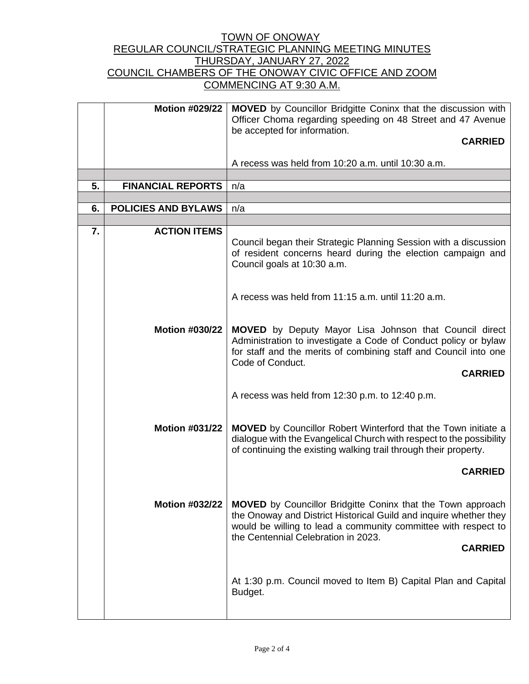|                  | <b>Motion #029/22</b>      | <b>MOVED</b> by Councillor Bridgitte Coninx that the discussion with<br>Officer Choma regarding speeding on 48 Street and 47 Avenue                                                                                                                                |  |  |
|------------------|----------------------------|--------------------------------------------------------------------------------------------------------------------------------------------------------------------------------------------------------------------------------------------------------------------|--|--|
|                  |                            | be accepted for information.<br><b>CARRIED</b>                                                                                                                                                                                                                     |  |  |
|                  |                            | A recess was held from 10:20 a.m. until 10:30 a.m.                                                                                                                                                                                                                 |  |  |
|                  |                            |                                                                                                                                                                                                                                                                    |  |  |
| 5.               | <b>FINANCIAL REPORTS</b>   | n/a                                                                                                                                                                                                                                                                |  |  |
|                  |                            |                                                                                                                                                                                                                                                                    |  |  |
| 6.               | <b>POLICIES AND BYLAWS</b> | n/a                                                                                                                                                                                                                                                                |  |  |
|                  |                            |                                                                                                                                                                                                                                                                    |  |  |
| $\overline{7}$ . | <b>ACTION ITEMS</b>        | Council began their Strategic Planning Session with a discussion<br>of resident concerns heard during the election campaign and<br>Council goals at 10:30 a.m.                                                                                                     |  |  |
|                  |                            | A recess was held from 11:15 a.m. until 11:20 a.m.                                                                                                                                                                                                                 |  |  |
|                  | <b>Motion #030/22</b>      | <b>MOVED</b> by Deputy Mayor Lisa Johnson that Council direct<br>Administration to investigate a Code of Conduct policy or bylaw<br>for staff and the merits of combining staff and Council into one<br>Code of Conduct.<br><b>CARRIED</b>                         |  |  |
|                  |                            | A recess was held from 12:30 p.m. to 12:40 p.m.                                                                                                                                                                                                                    |  |  |
|                  | <b>Motion #031/22</b>      | <b>MOVED</b> by Councillor Robert Winterford that the Town initiate a<br>dialogue with the Evangelical Church with respect to the possibility<br>of continuing the existing walking trail through their property.                                                  |  |  |
|                  |                            | <b>CARRIED</b>                                                                                                                                                                                                                                                     |  |  |
|                  | <b>Motion #032/22</b>      | <b>MOVED</b> by Councillor Bridgitte Coninx that the Town approach<br>the Onoway and District Historical Guild and inquire whether they<br>would be willing to lead a community committee with respect to<br>the Centennial Celebration in 2023.<br><b>CARRIED</b> |  |  |
|                  |                            | At 1:30 p.m. Council moved to Item B) Capital Plan and Capital<br>Budget.                                                                                                                                                                                          |  |  |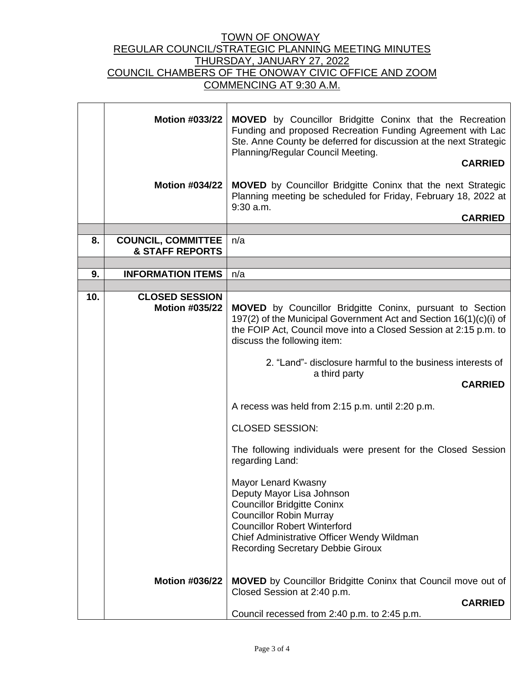|     | <b>Motion #033/22</b>                                   | <b>MOVED</b> by Councillor Bridgitte Coninx that the Recreation<br>Funding and proposed Recreation Funding Agreement with Lac<br>Ste. Anne County be deferred for discussion at the next Strategic<br>Planning/Regular Council Meeting.<br><b>CARRIED</b> |  |
|-----|---------------------------------------------------------|-----------------------------------------------------------------------------------------------------------------------------------------------------------------------------------------------------------------------------------------------------------|--|
|     | <b>Motion #034/22</b>                                   | <b>MOVED</b> by Councillor Bridgitte Coninx that the next Strategic<br>Planning meeting be scheduled for Friday, February 18, 2022 at<br>$9:30$ a.m.<br><b>CARRIED</b>                                                                                    |  |
|     |                                                         |                                                                                                                                                                                                                                                           |  |
| 8.  | <b>COUNCIL, COMMITTEE</b><br><b>&amp; STAFF REPORTS</b> | n/a                                                                                                                                                                                                                                                       |  |
|     |                                                         |                                                                                                                                                                                                                                                           |  |
| 9.  | <b>INFORMATION ITEMS</b>                                | n/a                                                                                                                                                                                                                                                       |  |
|     |                                                         |                                                                                                                                                                                                                                                           |  |
| 10. | <b>CLOSED SESSION</b><br><b>Motion #035/22</b>          | <b>MOVED</b> by Councillor Bridgitte Coninx, pursuant to Section<br>197(2) of the Municipal Government Act and Section 16(1)(c)(i) of                                                                                                                     |  |
|     |                                                         | the FOIP Act, Council move into a Closed Session at 2:15 p.m. to<br>discuss the following item:                                                                                                                                                           |  |
|     |                                                         | 2. "Land"- disclosure harmful to the business interests of<br>a third party<br><b>CARRIED</b>                                                                                                                                                             |  |
|     |                                                         |                                                                                                                                                                                                                                                           |  |
|     |                                                         | A recess was held from 2:15 p.m. until 2:20 p.m.                                                                                                                                                                                                          |  |
|     |                                                         | <b>CLOSED SESSION:</b>                                                                                                                                                                                                                                    |  |
|     |                                                         | The following individuals were present for the Closed Session<br>regarding Land:                                                                                                                                                                          |  |
|     |                                                         | Mayor Lenard Kwasny<br>Deputy Mayor Lisa Johnson                                                                                                                                                                                                          |  |
|     |                                                         | <b>Councillor Bridgitte Coninx</b><br><b>Councillor Robin Murray</b>                                                                                                                                                                                      |  |
|     |                                                         | <b>Councillor Robert Winterford</b>                                                                                                                                                                                                                       |  |
|     |                                                         | Chief Administrative Officer Wendy Wildman                                                                                                                                                                                                                |  |
|     |                                                         | <b>Recording Secretary Debbie Giroux</b>                                                                                                                                                                                                                  |  |
|     | <b>Motion #036/22</b>                                   | <b>MOVED</b> by Councillor Bridgitte Coninx that Council move out of                                                                                                                                                                                      |  |
|     |                                                         | Closed Session at 2:40 p.m.                                                                                                                                                                                                                               |  |
|     |                                                         | <b>CARRIED</b>                                                                                                                                                                                                                                            |  |
|     |                                                         | Council recessed from 2:40 p.m. to 2:45 p.m.                                                                                                                                                                                                              |  |